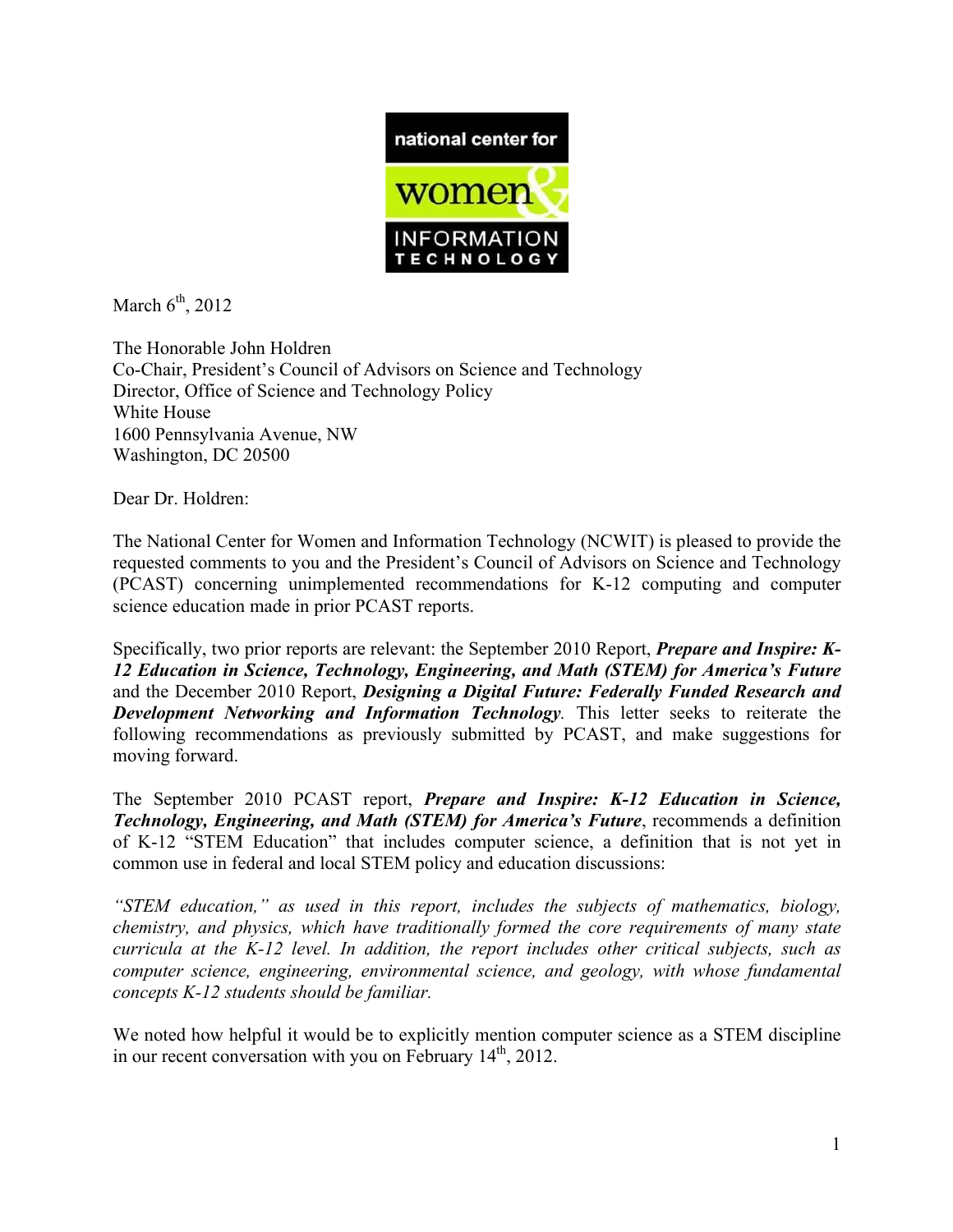

March  $6<sup>th</sup>$ , 2012

The Honorable John Holdren Co-Chair, President's Council of Advisors on Science and Technology Director, Office of Science and Technology Policy White House 1600 Pennsylvania Avenue, NW Washington, DC 20500

Dear Dr. Holdren:

The National Center for Women and Information Technology (NCWIT) is pleased to provide the requested comments to you and the President's Council of Advisors on Science and Technology (PCAST) concerning unimplemented recommendations for K-12 computing and computer science education made in prior PCAST reports.

Specifically, two prior reports are relevant: the September 2010 Report, *Prepare and Inspire: K-12 Education in Science, Technology, Engineering, and Math (STEM) for America's Future* and the December 2010 Report, *Designing a Digital Future: Federally Funded Research and Development Networking and Information Technology.* This letter seeks to reiterate the following recommendations as previously submitted by PCAST, and make suggestions for moving forward.

The September 2010 PCAST report, *Prepare and Inspire: K-12 Education in Science, Technology, Engineering, and Math (STEM) for America's Future*, recommends a definition of K-12 "STEM Education" that includes computer science, a definition that is not yet in common use in federal and local STEM policy and education discussions:

*"STEM education," as used in this report, includes the subjects of mathematics, biology, chemistry, and physics, which have traditionally formed the core requirements of many state curricula at the K-12 level. In addition, the report includes other critical subjects, such as computer science, engineering, environmental science, and geology, with whose fundamental concepts K-12 students should be familiar.*

We noted how helpful it would be to explicitly mention computer science as a STEM discipline in our recent conversation with you on February  $14<sup>th</sup>$ , 2012.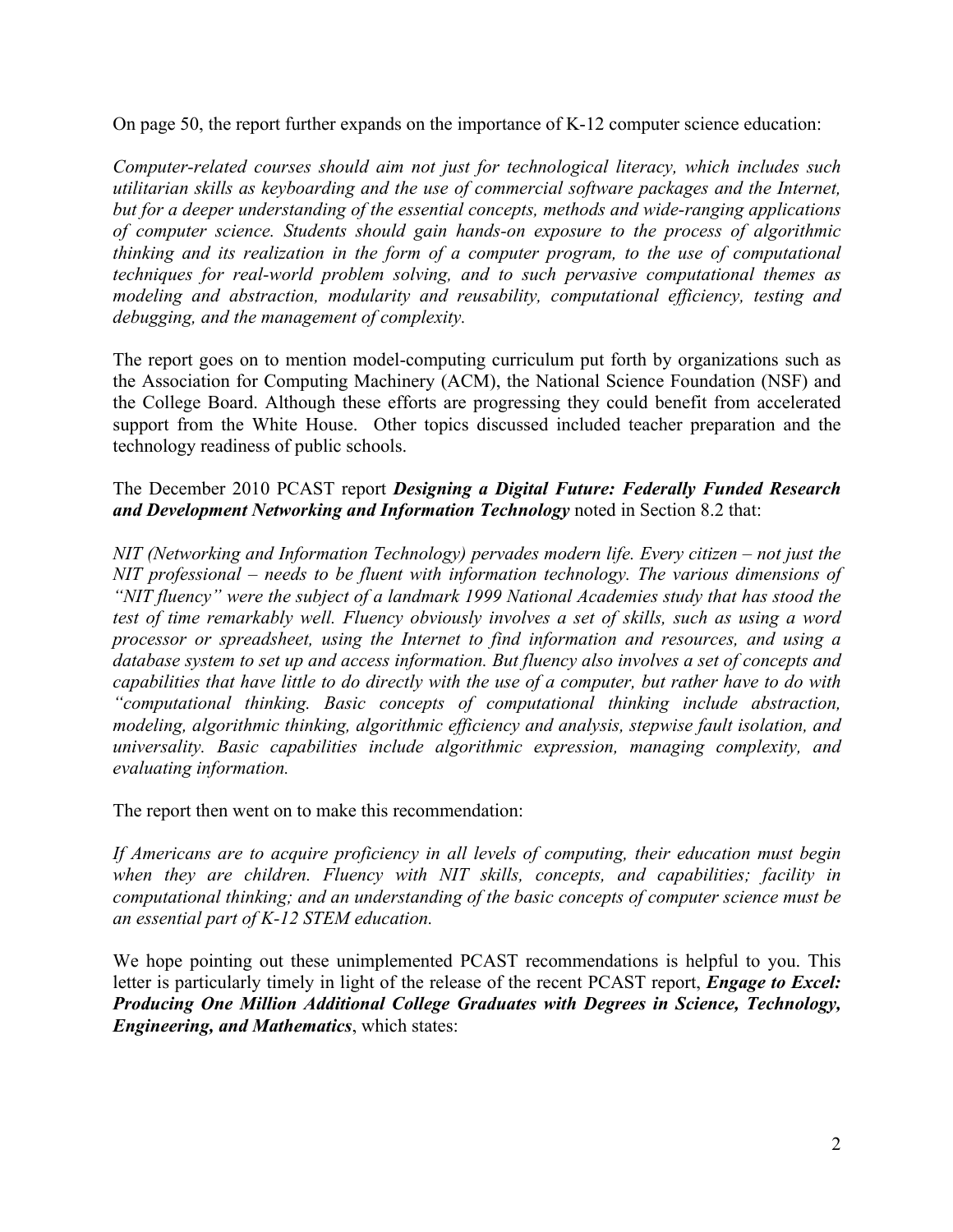On page 50, the report further expands on the importance of K-12 computer science education:

*Computer-related courses should aim not just for technological literacy, which includes such utilitarian skills as keyboarding and the use of commercial software packages and the Internet, but for a deeper understanding of the essential concepts, methods and wide-ranging applications of computer science. Students should gain hands-on exposure to the process of algorithmic thinking and its realization in the form of a computer program, to the use of computational techniques for real-world problem solving, and to such pervasive computational themes as modeling and abstraction, modularity and reusability, computational efficiency, testing and debugging, and the management of complexity.*

The report goes on to mention model-computing curriculum put forth by organizations such as the Association for Computing Machinery (ACM), the National Science Foundation (NSF) and the College Board. Although these efforts are progressing they could benefit from accelerated support from the White House. Other topics discussed included teacher preparation and the technology readiness of public schools.

## The December 2010 PCAST report *Designing a Digital Future: Federally Funded Research and Development Networking and Information Technology* noted in Section 8.2 that:

*NIT (Networking and Information Technology) pervades modern life. Every citizen – not just the NIT professional – needs to be fluent with information technology. The various dimensions of "NIT fluency" were the subject of a landmark 1999 National Academies study that has stood the test of time remarkably well. Fluency obviously involves a set of skills, such as using a word processor or spreadsheet, using the Internet to find information and resources, and using a database system to set up and access information. But fluency also involves a set of concepts and capabilities that have little to do directly with the use of a computer, but rather have to do with "computational thinking. Basic concepts of computational thinking include abstraction, modeling, algorithmic thinking, algorithmic efficiency and analysis, stepwise fault isolation, and universality. Basic capabilities include algorithmic expression, managing complexity, and evaluating information.*

The report then went on to make this recommendation:

*If Americans are to acquire proficiency in all levels of computing, their education must begin when they are children. Fluency with NIT skills, concepts, and capabilities; facility in computational thinking; and an understanding of the basic concepts of computer science must be an essential part of K-12 STEM education.*

We hope pointing out these unimplemented PCAST recommendations is helpful to you. This letter is particularly timely in light of the release of the recent PCAST report, *Engage to Excel: Producing One Million Additional College Graduates with Degrees in Science, Technology, Engineering, and Mathematics*, which states: